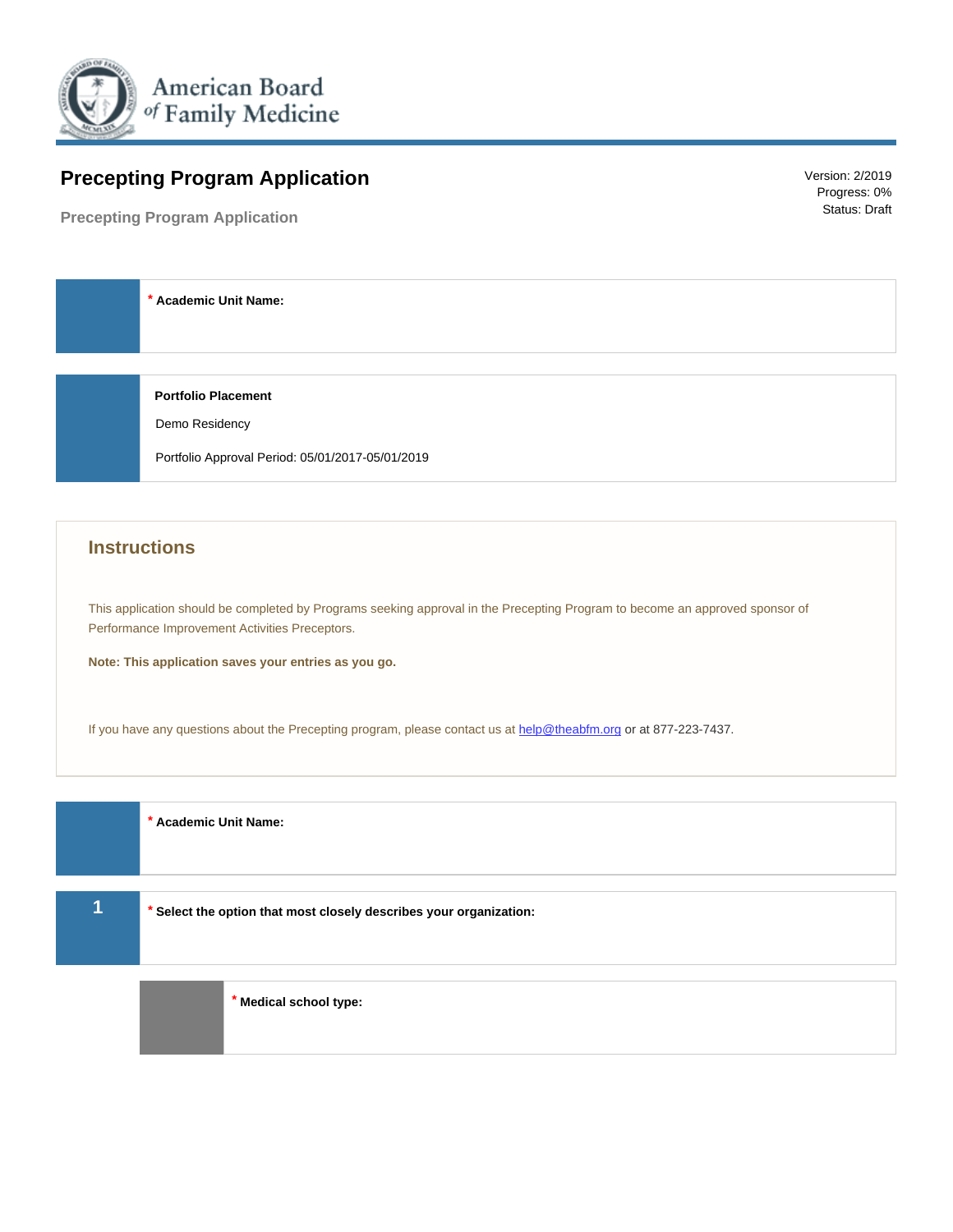

# **Precepting Program Application**

**Precepting Program Application**

Version: 2/2019 Progress: 0% Status: Draft

 **\* Academic Unit Name:**

 **Portfolio Placement**

Demo Residency

Portfolio Approval Period: 05/01/2017-05/01/2019

# **Instructions**

This application should be completed by Programs seeking approval in the Precepting Program to become an approved sponsor of Performance Improvement Activities Preceptors.

**Note: This application saves your entries as you go.**

If you have any questions about the Precepting program, please contact us at [help@theabfm.org](mailto:%20help@theabfm.org) or at 877-223-7437.

 **\* Academic Unit Name:**

**1 \* Select the option that most closely describes your organization:**

 **\* Medical school type:**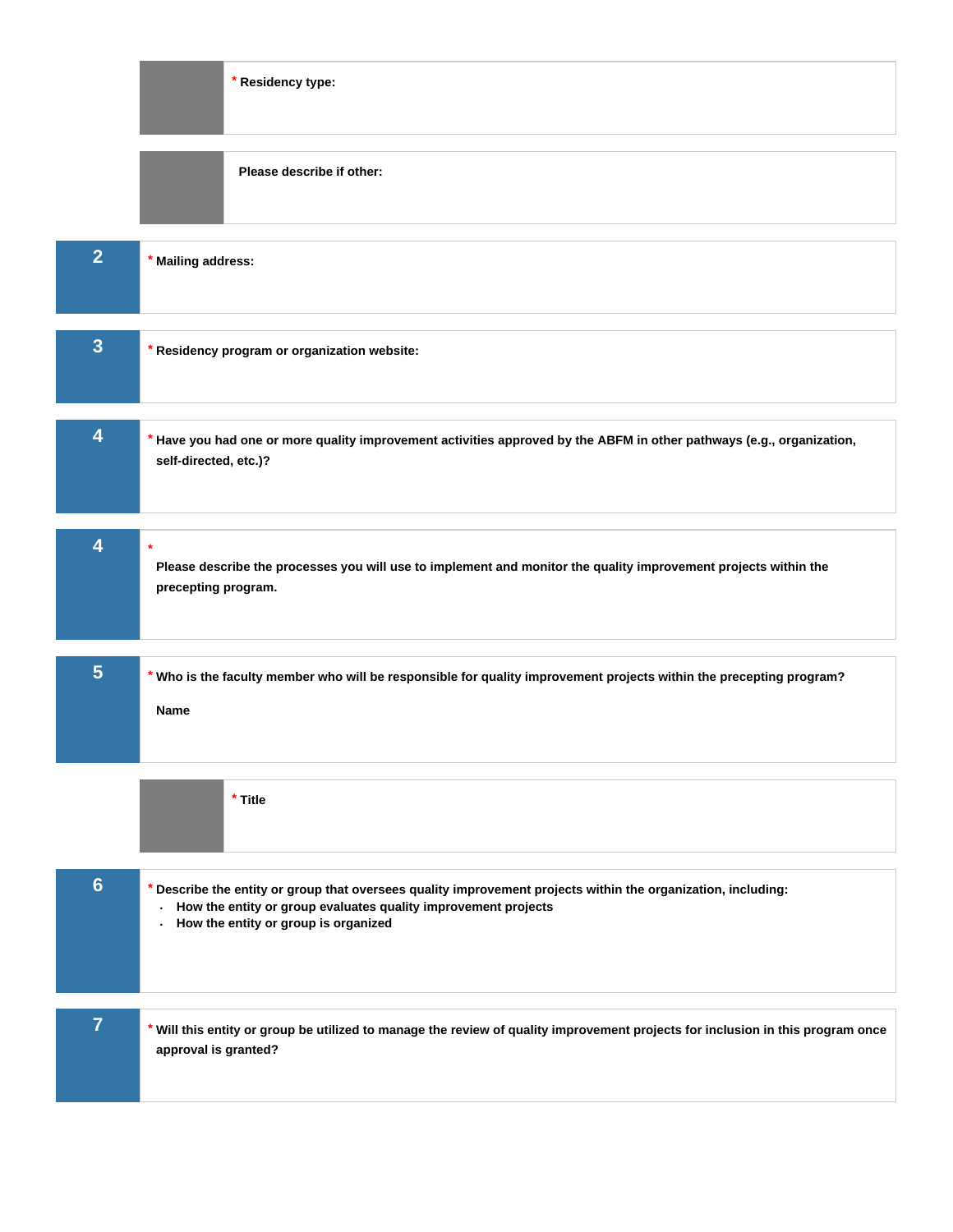|                | * Residency type:                                                                                                                                                                                                           |
|----------------|-----------------------------------------------------------------------------------------------------------------------------------------------------------------------------------------------------------------------------|
|                | Please describe if other:                                                                                                                                                                                                   |
| $\overline{2}$ | Mailing address:                                                                                                                                                                                                            |
| $\overline{3}$ | * Residency program or organization website:                                                                                                                                                                                |
| 4              | Have you had one or more quality improvement activities approved by the ABFM in other pathways (e.g., organization,<br>self-directed, etc.)?                                                                                |
| 4              | $\star$<br>Please describe the processes you will use to implement and monitor the quality improvement projects within the<br>precepting program.                                                                           |
| 5 <sub>5</sub> | * Who is the faculty member who will be responsible for quality improvement projects within the precepting program?<br><b>Name</b>                                                                                          |
|                | * Title                                                                                                                                                                                                                     |
| $6\phantom{1}$ | Describe the entity or group that oversees quality improvement projects within the organization, including:<br>How the entity or group evaluates quality improvement projects<br>ä,<br>How the entity or group is organized |
| $\overline{7}$ | * Will this entity or group be utilized to manage the review of quality improvement projects for inclusion in this program once<br>approval is granted?                                                                     |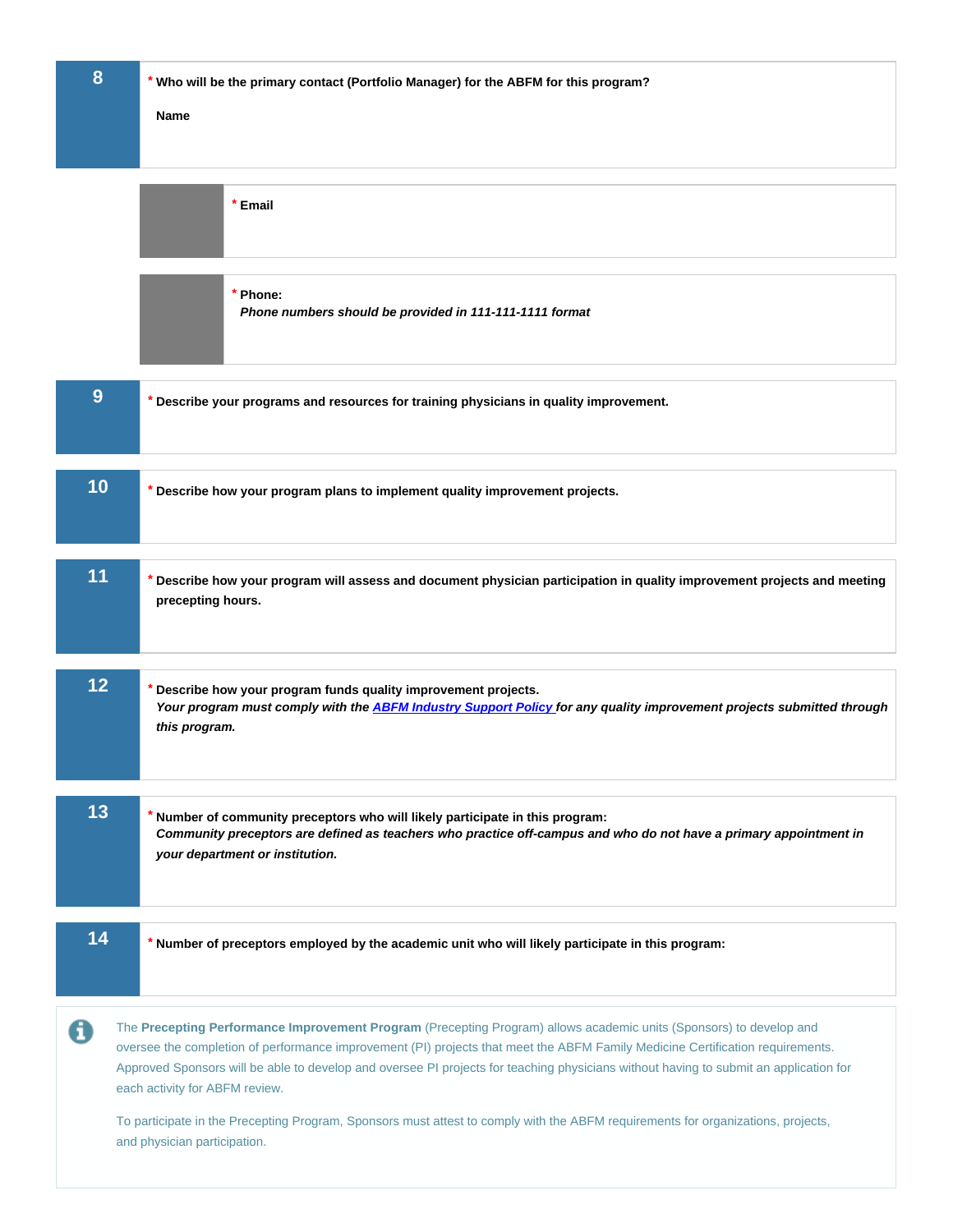| 8                                                                                                                                                                                                                                                                                                                                                                                                                                     | * Who will be the primary contact (Portfolio Manager) for the ABFM for this program?<br>Name                                                                                                                                        |
|---------------------------------------------------------------------------------------------------------------------------------------------------------------------------------------------------------------------------------------------------------------------------------------------------------------------------------------------------------------------------------------------------------------------------------------|-------------------------------------------------------------------------------------------------------------------------------------------------------------------------------------------------------------------------------------|
|                                                                                                                                                                                                                                                                                                                                                                                                                                       |                                                                                                                                                                                                                                     |
|                                                                                                                                                                                                                                                                                                                                                                                                                                       | * Email                                                                                                                                                                                                                             |
|                                                                                                                                                                                                                                                                                                                                                                                                                                       | * Phone:<br>Phone numbers should be provided in 111-111-1111 format                                                                                                                                                                 |
| 9                                                                                                                                                                                                                                                                                                                                                                                                                                     | Describe your programs and resources for training physicians in quality improvement.                                                                                                                                                |
| 10                                                                                                                                                                                                                                                                                                                                                                                                                                    | Describe how your program plans to implement quality improvement projects.                                                                                                                                                          |
| 11                                                                                                                                                                                                                                                                                                                                                                                                                                    | Describe how your program will assess and document physician participation in quality improvement projects and meeting<br>precepting hours.                                                                                         |
| 12                                                                                                                                                                                                                                                                                                                                                                                                                                    | Describe how your program funds quality improvement projects.<br>Your program must comply with the ABFM Industry Support Policy for any quality improvement projects submitted through<br>this program.                             |
| 13                                                                                                                                                                                                                                                                                                                                                                                                                                    | Number of community preceptors who will likely participate in this program:<br>Community preceptors are defined as teachers who practice off-campus and who do not have a primary appointment in<br>your department or institution. |
| 14                                                                                                                                                                                                                                                                                                                                                                                                                                    | Number of preceptors employed by the academic unit who will likely participate in this program:                                                                                                                                     |
| A<br>The Precepting Performance Improvement Program (Precepting Program) allows academic units (Sponsors) to develop and<br>oversee the completion of performance improvement (PI) projects that meet the ABFM Family Medicine Certification requirements.<br>Approved Sponsors will be able to develop and oversee PI projects for teaching physicians without having to submit an application for<br>each activity for ABFM review. |                                                                                                                                                                                                                                     |
| To participate in the Precepting Program, Sponsors must attest to comply with the ABFM requirements for organizations, projects,<br>and physician participation.                                                                                                                                                                                                                                                                      |                                                                                                                                                                                                                                     |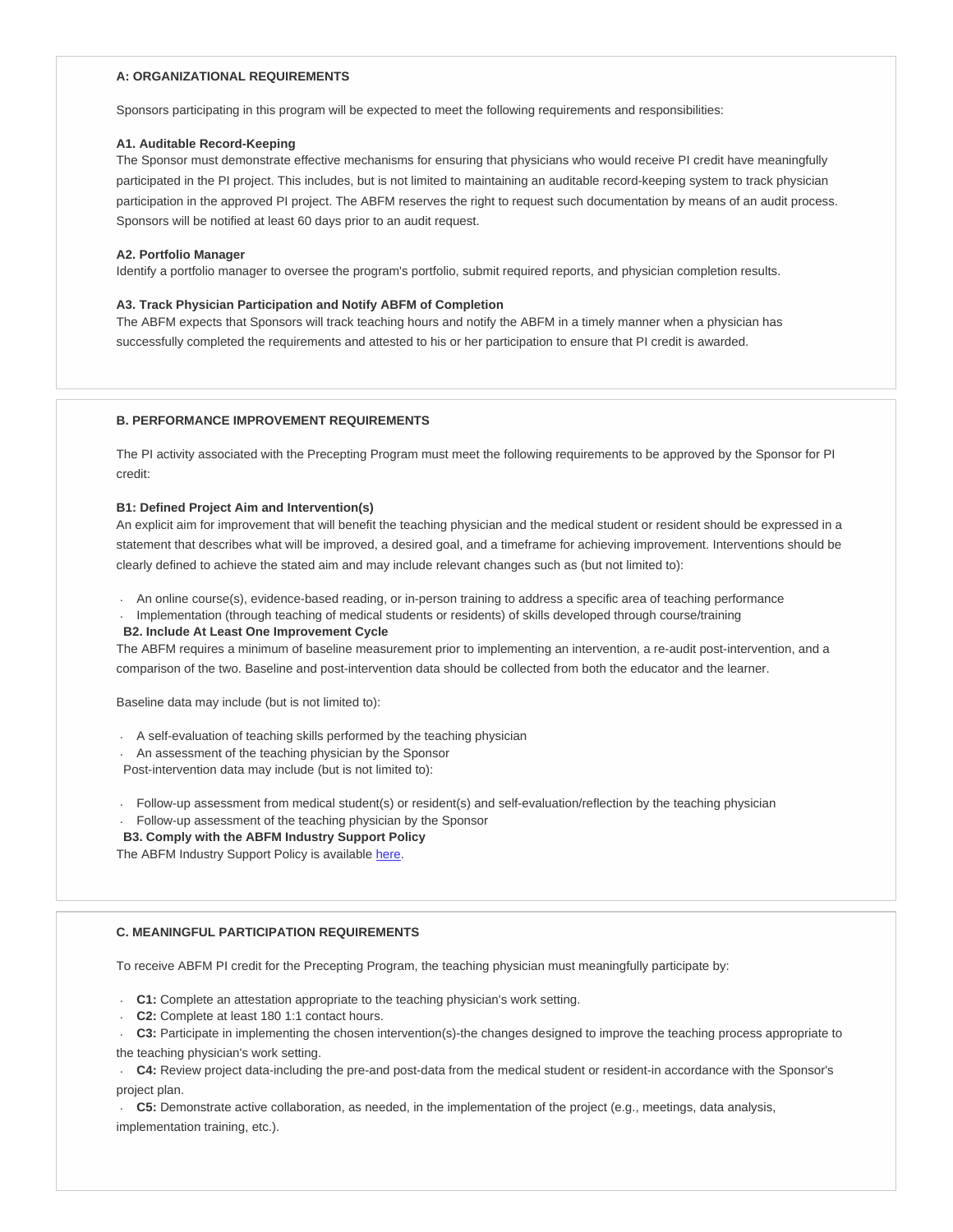# **A: ORGANIZATIONAL REQUIREMENTS**

Sponsors participating in this program will be expected to meet the following requirements and responsibilities:

# **A1. Auditable Record-Keeping**

The Sponsor must demonstrate effective mechanisms for ensuring that physicians who would receive PI credit have meaningfully participated in the PI project. This includes, but is not limited to maintaining an auditable record-keeping system to track physician participation in the approved PI project. The ABFM reserves the right to request such documentation by means of an audit process. Sponsors will be notified at least 60 days prior to an audit request.

#### **A2. Portfolio Manager**

Identify a portfolio manager to oversee the program's portfolio, submit required reports, and physician completion results.

#### **A3. Track Physician Participation and Notify ABFM of Completion**

The ABFM expects that Sponsors will track teaching hours and notify the ABFM in a timely manner when a physician has successfully completed the requirements and attested to his or her participation to ensure that PI credit is awarded.

# **B. PERFORMANCE IMPROVEMENT REQUIREMENTS**

The PI activity associated with the Precepting Program must meet the following requirements to be approved by the Sponsor for PI credit:

#### **B1: Defined Project Aim and Intervention(s)**

An explicit aim for improvement that will benefit the teaching physician and the medical student or resident should be expressed in a statement that describes what will be improved, a desired goal, and a timeframe for achieving improvement. Interventions should be clearly defined to achieve the stated aim and may include relevant changes such as (but not limited to):

. An online course(s), evidence-based reading, or in-person training to address a specific area of teaching performance

. Implementation (through teaching of medical students or residents) of skills developed through course/training

#### **B2. Include At Least One Improvement Cycle**

The ABFM requires a minimum of baseline measurement prior to implementing an intervention, a re-audit post-intervention, and a comparison of the two. Baseline and post-intervention data should be collected from both the educator and the learner.

Baseline data may include (but is not limited to):

- . A self-evaluation of teaching skills performed by the teaching physician
- . An assessment of the teaching physician by the Sponsor

Post-intervention data may include (but is not limited to):

- . Follow-up assessment from medical student(s) or resident(s) and self-evaluation/reflection by the teaching physician
- . Follow-up assessment of the teaching physician by the Sponsor
- **B3. Comply with the ABFM Industry Support Policy**

The ABFM Industry Support Policy is available [here.](https://www.theabfm.org/research/indsuppolicy.pdf)

# **C. MEANINGFUL PARTICIPATION REQUIREMENTS**

To receive ABFM PI credit for the Precepting Program, the teaching physician must meaningfully participate by:

- . **C1:** Complete an attestation appropriate to the teaching physician's work setting.
- . **C2:** Complete at least 180 1:1 contact hours.
- . **C3:** Participate in implementing the chosen intervention(s)-the changes designed to improve the teaching process appropriate to
- the teaching physician's work setting.

. **C4:** Review project data-including the pre-and post-data from the medical student or resident-in accordance with the Sponsor's project plan.

. **C5:** Demonstrate active collaboration, as needed, in the implementation of the project (e.g., meetings, data analysis,

implementation training, etc.).